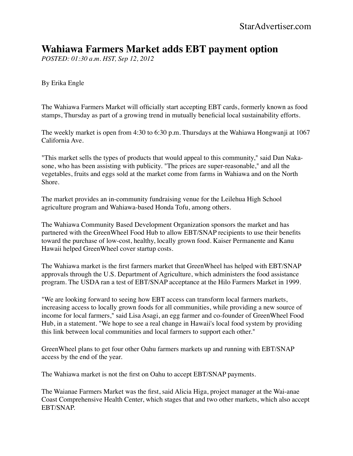## **Wahiawa Farmers Market adds EBT payment option**

*POSTED: 01:30 a.m. HST, Sep 12, 2012*

By Erika Engle

The Wahiawa Farmers Market will officially start accepting EBT cards, formerly known as food stamps, Thursday as part of a growing trend in mutually beneficial local sustainability efforts.

The weekly market is open from 4:30 to 6:30 p.m. Thursdays at the Wahiawa Hongwanji at 1067 California Ave.

"This market sells the types of products that would appeal to this community," said Dan Nakasone, who has been assisting with publicity. "The prices are super-reasonable," and all the vegetables, fruits and eggs sold at the market come from farms in Wahiawa and on the North Shore.

The market provides an in-community fundraising venue for the Leilehua High School agriculture program and Wahiawa-based Honda Tofu, among others.

The Wahiawa Community Based Development Organization sponsors the market and has partnered with the GreenWheel Food Hub to allow EBT/SNAP recipients to use their benefits toward the purchase of low-cost, healthy, locally grown food. Kaiser Permanente and Kanu Hawaii helped GreenWheel cover startup costs.

The Wahiawa market is the first farmers market that GreenWheel has helped with EBT/SNAP approvals through the U.S. Department of Agriculture, which administers the food assistance program. The USDA ran a test of EBT/SNAP acceptance at the Hilo Farmers Market in 1999.

"We are looking forward to seeing how EBT access can transform local farmers markets, increasing access to locally grown foods for all communities, while providing a new source of income for local farmers," said Lisa Asagi, an egg farmer and co-founder of GreenWheel Food Hub, in a statement. "We hope to see a real change in Hawaii's local food system by providing this link between local communities and local farmers to support each other."

GreenWheel plans to get four other Oahu farmers markets up and running with EBT/SNAP access by the end of the year.

The Wahiawa market is not the first on Oahu to accept EBT/SNAP payments.

The Waianae Farmers Market was the first, said Alicia Higa, project manager at the Wai-anae Coast Comprehensive Health Center, which stages that and two other markets, which also accept EBT/SNAP.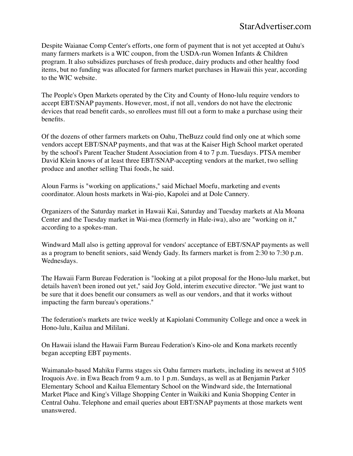Despite Waianae Comp Center's efforts, one form of payment that is not yet accepted at Oahu's many farmers markets is a WIC coupon, from the USDA-run Women Infants & Children program. It also subsidizes purchases of fresh produce, dairy products and other healthy food items, but no funding was allocated for farmers market purchases in Hawaii this year, according to the WIC website.

The People's Open Markets operated by the City and County of Hono-lulu require vendors to accept EBT/SNAP payments. However, most, if not all, vendors do not have the electronic devices that read benefit cards, so enrollees must fill out a form to make a purchase using their benefits.

Of the dozens of other farmers markets on Oahu, TheBuzz could find only one at which some vendors accept EBT/SNAP payments, and that was at the Kaiser High School market operated by the school's Parent Teacher Student Association from 4 to 7 p.m. Tuesdays. PTSA member David Klein knows of at least three EBT/SNAP-accepting vendors at the market, two selling produce and another selling Thai foods, he said.

Aloun Farms is "working on applications," said Michael Moefu, marketing and events coordinator. Aloun hosts markets in Wai-pio, Kapolei and at Dole Cannery.

Organizers of the Saturday market in Hawaii Kai, Saturday and Tuesday markets at Ala Moana Center and the Tuesday market in Wai-mea (formerly in Hale-iwa), also are "working on it," according to a spokes-man.

Windward Mall also is getting approval for vendors' acceptance of EBT/SNAP payments as well as a program to benefit seniors, said Wendy Gady. Its farmers market is from 2:30 to 7:30 p.m. Wednesdays.

The Hawaii Farm Bureau Federation is "looking at a pilot proposal for the Hono-lulu market, but details haven't been ironed out yet," said Joy Gold, interim executive director. "We just want to be sure that it does benefit our consumers as well as our vendors, and that it works without impacting the farm bureau's operations."

The federation's markets are twice weekly at Kapiolani Community College and once a week in Hono-lulu, Kailua and Mililani.

On Hawaii island the Hawaii Farm Bureau Federation's Kino-ole and Kona markets recently began accepting EBT payments.

Waimanalo-based Mahiku Farms stages six Oahu farmers markets, including its newest at 5105 Iroquois Ave. in Ewa Beach from 9 a.m. to 1 p.m. Sundays, as well as at Benjamin Parker Elementary School and Kailua Elementary School on the Windward side, the International Market Place and King's Village Shopping Center in Waikiki and Kunia Shopping Center in Central Oahu. Telephone and email queries about EBT/SNAP payments at those markets went unanswered.